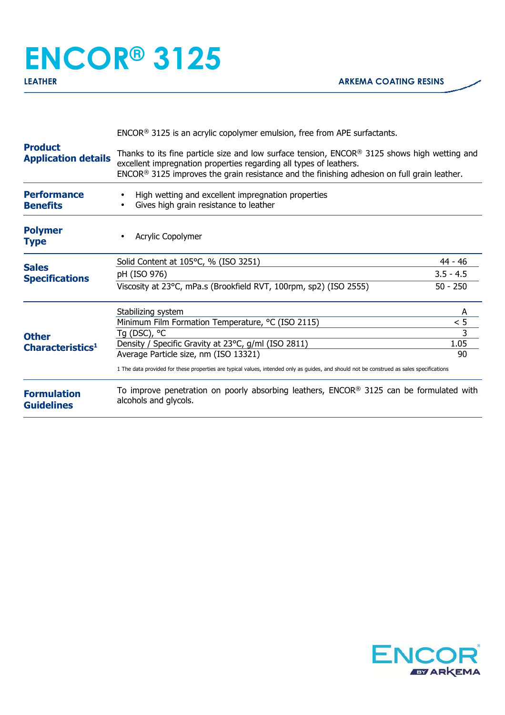## **ENCOR® 3125**

|                                              | $ENCOR®$ 3125 is an acrylic copolymer emulsion, free from APE surfactants.                                                                                                                                                                                            |                |  |
|----------------------------------------------|-----------------------------------------------------------------------------------------------------------------------------------------------------------------------------------------------------------------------------------------------------------------------|----------------|--|
| <b>Product</b><br><b>Application details</b> | Thanks to its fine particle size and low surface tension, $ENCOR®$ 3125 shows high wetting and<br>excellent impregnation properties regarding all types of leathers.<br>$ENCOR®$ 3125 improves the grain resistance and the finishing adhesion on full grain leather. |                |  |
| <b>Performance</b><br><b>Benefits</b>        | High wetting and excellent impregnation properties<br>Gives high grain resistance to leather                                                                                                                                                                          |                |  |
| <b>Polymer</b><br><b>Type</b>                | Acrylic Copolymer                                                                                                                                                                                                                                                     |                |  |
|                                              | Solid Content at 105°C, % (ISO 3251)                                                                                                                                                                                                                                  | 44 - 46        |  |
| <b>Sales</b><br><b>Specifications</b>        | pH (ISO 976)                                                                                                                                                                                                                                                          | $3.5 - 4.5$    |  |
| <b>Other</b><br>Characteristics <sup>1</sup> | Viscosity at 23°C, mPa.s (Brookfield RVT, 100rpm, sp2) (ISO 2555)                                                                                                                                                                                                     | $50 - 250$     |  |
|                                              | Stabilizing system                                                                                                                                                                                                                                                    | A              |  |
|                                              | Minimum Film Formation Temperature, °C (ISO 2115)                                                                                                                                                                                                                     | < 5            |  |
|                                              | Tg (DSC), °C                                                                                                                                                                                                                                                          | $\overline{3}$ |  |
|                                              | Density / Specific Gravity at 23°C, g/ml (ISO 2811)<br>Average Particle size, nm (ISO 13321)                                                                                                                                                                          | 1.05<br>90     |  |
|                                              | 1 The data provided for these properties are typical values, intended only as guides, and should not be construed as sales specifications                                                                                                                             |                |  |
| <b>Formulation</b><br><b>Guidelines</b>      | To improve penetration on poorly absorbing leathers, $ENCOR®$ 3125 can be formulated with<br>alcohols and glycols.                                                                                                                                                    |                |  |
|                                              |                                                                                                                                                                                                                                                                       |                |  |